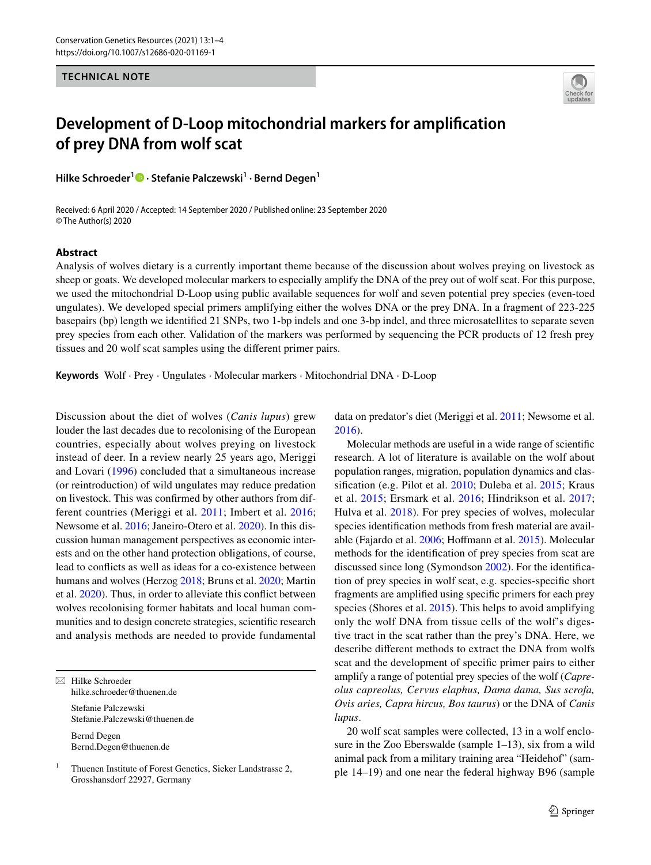## **TECHNICAL NOTE**



## **Development of D‑Loop mitochondrial markers for amplifcation of prey DNA from wolf scat**

**Hilke Schroeder1 · Stefanie Palczewski<sup>1</sup> · Bernd Degen1**

Received: 6 April 2020 / Accepted: 14 September 2020 / Published online: 23 September 2020 © The Author(s) 2020

## **Abstract**

Analysis of wolves dietary is a currently important theme because of the discussion about wolves preying on livestock as sheep or goats. We developed molecular markers to especially amplify the DNA of the prey out of wolf scat. For this purpose, we used the mitochondrial D-Loop using public available sequences for wolf and seven potential prey species (even-toed ungulates). We developed special primers amplifying either the wolves DNA or the prey DNA. In a fragment of 223-225 basepairs (bp) length we identifed 21 SNPs, two 1-bp indels and one 3-bp indel, and three microsatellites to separate seven prey species from each other. Validation of the markers was performed by sequencing the PCR products of 12 fresh prey tissues and 20 wolf scat samples using the diferent primer pairs.

**Keywords** Wolf · Prey · Ungulates · Molecular markers · Mitochondrial DNA · D-Loop

Discussion about the diet of wolves (*Canis lupus*) grew louder the last decades due to recolonising of the European countries, especially about wolves preying on livestock instead of deer. In a review nearly 25 years ago, Meriggi and Lovari ([1996](#page-3-0)) concluded that a simultaneous increase (or reintroduction) of wild ungulates may reduce predation on livestock. This was confrmed by other authors from different countries (Meriggi et al. [2011;](#page-3-1) Imbert et al. [2016](#page-3-2); Newsome et al. [2016](#page-3-3); Janeiro-Otero et al. [2020](#page-3-4)). In this discussion human management perspectives as economic interests and on the other hand protection obligations, of course, lead to conficts as well as ideas for a co-existence between humans and wolves (Herzog [2018;](#page-3-5) Bruns et al. [2020;](#page-2-0) Martin et al. [2020\)](#page-3-6). Thus, in order to alleviate this confict between wolves recolonising former habitats and local human communities and to design concrete strategies, scientifc research and analysis methods are needed to provide fundamental

 $\boxtimes$  Hilke Schroeder hilke.schroeder@thuenen.de

Stefanie Palczewski Stefanie.Palczewski@thuenen.de

Bernd Degen Bernd.Degen@thuenen.de

<sup>1</sup> Thuenen Institute of Forest Genetics, Sieker Landstrasse 2, Grosshansdorf 22927, Germany

data on predator's diet (Meriggi et al. [2011;](#page-3-1) Newsome et al. [2016](#page-3-3)).

Molecular methods are useful in a wide range of scientifc research. A lot of literature is available on the wolf about population ranges, migration, population dynamics and classifcation (e.g. Pilot et al. [2010](#page-3-7); Duleba et al. [2015](#page-2-1); Kraus et al. [2015;](#page-3-8) Ersmark et al. [2016](#page-2-2); Hindrikson et al. [2017](#page-3-9); Hulva et al. [2018\)](#page-3-10). For prey species of wolves, molecular species identifcation methods from fresh material are available (Fajardo et al. [2006;](#page-3-11) Hofmann et al. [2015](#page-3-12)). Molecular methods for the identifcation of prey species from scat are discussed since long (Symondson [2002](#page-3-13)). For the identifcation of prey species in wolf scat, e.g. species-specifc short fragments are amplifed using specifc primers for each prey species (Shores et al. [2015](#page-3-14)). This helps to avoid amplifying only the wolf DNA from tissue cells of the wolf's digestive tract in the scat rather than the prey's DNA. Here, we describe diferent methods to extract the DNA from wolfs scat and the development of specifc primer pairs to either amplify a range of potential prey species of the wolf (*Capreolus capreolus, Cervus elaphus, Dama dama, Sus scrofa, Ovis aries, Capra hircus, Bos taurus*) or the DNA of *Canis lupus*.

20 wolf scat samples were collected, 13 in a wolf enclosure in the Zoo Eberswalde (sample 1–13), six from a wild animal pack from a military training area "Heidehof" (sample 14–19) and one near the federal highway B96 (sample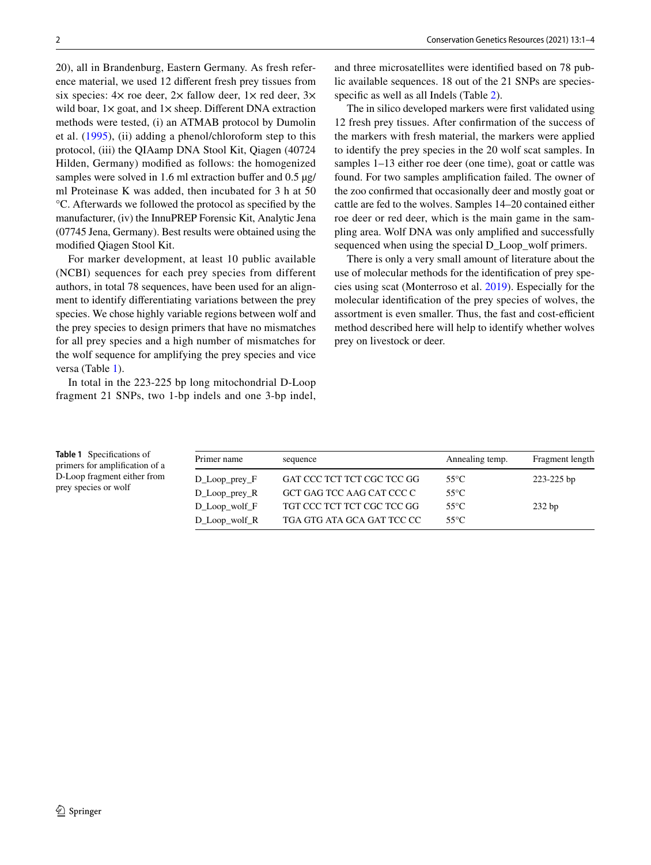20), all in Brandenburg, Eastern Germany. As fresh reference material, we used 12 diferent fresh prey tissues from six species:  $4 \times$  roe deer,  $2 \times$  fallow deer,  $1 \times$  red deer,  $3 \times$ wild boar,  $1 \times$  goat, and  $1 \times$  sheep. Different DNA extraction methods were tested, (i) an ATMAB protocol by Dumolin et al. [\(1995\)](#page-2-3), (ii) adding a phenol/chloroform step to this protocol, (iii) the QIAamp DNA Stool Kit, Qiagen (40724 Hilden, Germany) modifed as follows: the homogenized samples were solved in 1.6 ml extraction buffer and 0.5  $\mu$ g/ ml Proteinase K was added, then incubated for 3 h at 50 °C. Afterwards we followed the protocol as specifed by the manufacturer, (iv) the InnuPREP Forensic Kit, Analytic Jena (07745 Jena, Germany). Best results were obtained using the modifed Qiagen Stool Kit.

For marker development, at least 10 public available (NCBI) sequences for each prey species from different authors, in total 78 sequences, have been used for an alignment to identify diferentiating variations between the prey species. We chose highly variable regions between wolf and the prey species to design primers that have no mismatches for all prey species and a high number of mismatches for the wolf sequence for amplifying the prey species and vice versa (Table [1](#page-1-0)).

In total in the 223-225 bp long mitochondrial D-Loop fragment 21 SNPs, two 1-bp indels and one 3-bp indel, and three microsatellites were identifed based on 78 public available sequences. 18 out of the 21 SNPs are species-specific as well as all Indels (Table [2](#page-2-4)).

The in silico developed markers were frst validated using 12 fresh prey tissues. After confrmation of the success of the markers with fresh material, the markers were applied to identify the prey species in the 20 wolf scat samples. In samples 1–13 either roe deer (one time), goat or cattle was found. For two samples amplifcation failed. The owner of the zoo confrmed that occasionally deer and mostly goat or cattle are fed to the wolves. Samples 14–20 contained either roe deer or red deer, which is the main game in the sampling area. Wolf DNA was only amplifed and successfully sequenced when using the special D\_Loop\_wolf primers.

There is only a very small amount of literature about the use of molecular methods for the identifcation of prey species using scat (Monterroso et al. [2019](#page-3-15)). Especially for the molecular identifcation of the prey species of wolves, the assortment is even smaller. Thus, the fast and cost-efficient method described here will help to identify whether wolves prey on livestock or deer.

<span id="page-1-0"></span>**Table 1** Specifcations of primers for amplifcation of a D-Loop fragment either from prey species or wolf

| Primer name                | sequence                   | Annealing temp. | Fragment length |  |
|----------------------------|----------------------------|-----------------|-----------------|--|
| $D_{\text{Loop\_prey\_F}}$ | GAT CCC TCT TCT CGC TCC GG | $55^{\circ}$ C  | $223 - 225$ bp  |  |
| $D_{\perp}$ Loop prey R    | GCT GAG TCC AAG CAT CCC C  | 55°C.           |                 |  |
| $D$ Loop wolf $F$          | TGT CCC TCT TCT CGC TCC GG | $55^{\circ}$ C  | $232$ bp        |  |
| $D_{\perp}$ Loop_wolf_R    | TGA GTG ATA GCA GAT TCC CC | $55^{\circ}$ C  |                 |  |
|                            |                            |                 |                 |  |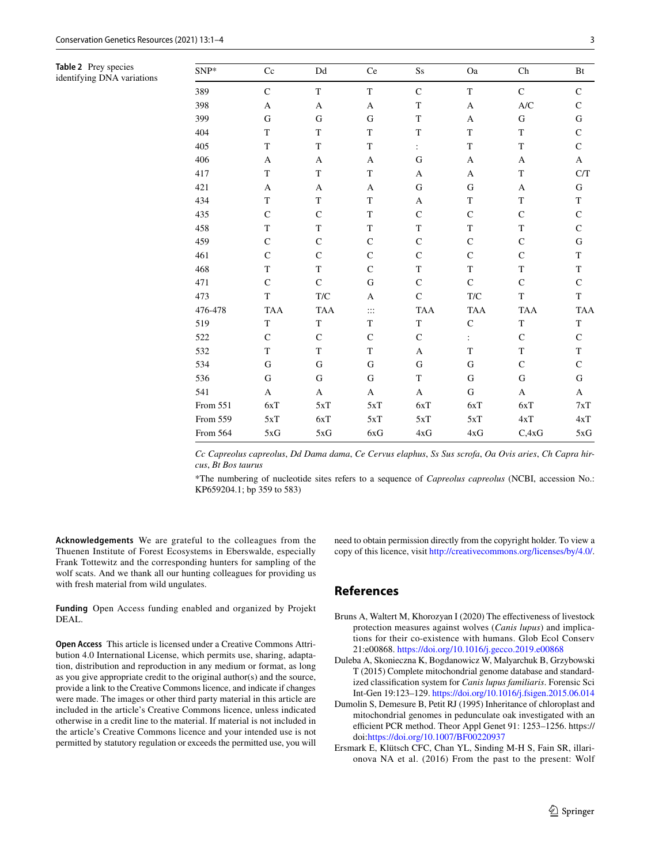<span id="page-2-4"></span>**Table 2** Prey species identifying DNA variations

| SNP*     | Cc           | $\mathop{\rm Dd}\nolimits$ | Ce                    | $\rm{S} \rm{s}$ | Oa              | Ch                        | Bt          |
|----------|--------------|----------------------------|-----------------------|-----------------|-----------------|---------------------------|-------------|
| 389      | $\mathsf{C}$ | $\mathbf T$                | $\mathbf T$           | $\mathbf C$     | $\mathbf T$     | $\mathbf C$               | $\mathbf C$ |
| 398      | A            | $\mathbf{A}$               | A                     | $\mathbf T$     | A               | A/C                       | $\mathsf C$ |
| 399      | ${\bf G}$    | ${\bf G}$                  | ${\bf G}$             | $\mathbf T$     | A               | ${\bf G}$                 | ${\bf G}$   |
| 404      | $\mathbf T$  | T                          | $\mathbf T$           | $\mathbf T$     | $\mathbf T$     | $\mathbf T$               | $\mathbf C$ |
| 405      | $\mathbf T$  | $\mathbf T$                | $\mathbf T$           | $\ddot{\cdot}$  | T               | $\mathbf T$               | $\mathsf C$ |
| 406      | A            | A                          | A                     | $\mathbf G$     | A               | $\boldsymbol{\mathsf{A}}$ | $\mathbf A$ |
| 417      | $\mathbf T$  | $\mathbf T$                | $\mathbf T$           | A               | A               | $\mathbf T$               | C/T         |
| 421      | $\mathbf A$  | $\boldsymbol{\mathsf{A}}$  | $\boldsymbol{\rm{A}}$ | ${\bf G}$       | ${\bf G}$       | $\boldsymbol{\mathsf{A}}$ | ${\bf G}$   |
| 434      | $\mathbf T$  | $\mathbf T$                | $\mathbf T$           | $\mathbf{A}$    | $\mathbf T$     | $\mathbf T$               | $\mathbf T$ |
| 435      | ${\bf C}$    | $\mathsf{C}$               | T                     | $\mathbf C$     | $\mathsf C$     | $\mathbf C$               | $\mathsf C$ |
| 458      | $\mathbf T$  | $\mathbf T$                | $\mathbf T$           | $\mathbf T$     | $\mathbf T$     | $\mathbf T$               | $\mathbf C$ |
| 459      | $\mathsf{C}$ | $\mathbf C$                | $\mathsf C$           | $\mathbf C$     | $\mathsf C$     | $\mathsf{C}$              | ${\bf G}$   |
| 461      | ${\bf C}$    | $\mathsf C$                | $\mathbf C$           | $\mathbf C$     | $\mathsf C$     | $\mathbf C$               | $\mathbf T$ |
| 468      | $\mathbf T$  | $\mathbf T$                | $\mathbf C$           | $\mathbf T$     | $\mathbf T$     | $\mathbf T$               | $\mathbf T$ |
| 471      | $\mathbf C$  | $\mathbf C$                | ${\bf G}$             | $\mathsf{C}$    | $\mathbf C$     | $\mathbf C$               | $\mathbf C$ |
| 473      | $\mathbf T$  | T/C                        | $\boldsymbol{A}$      | $\mathbf C$     | ${\rm T}/\rm C$ | $\mathbf T$               | $\mathbf T$ |
| 476-478  | <b>TAA</b>   | <b>TAA</b>                 | $\vdots$              | <b>TAA</b>      | <b>TAA</b>      | <b>TAA</b>                | <b>TAA</b>  |
| 519      | T            | $\mathbf T$                | $\mathbf T$           | $\mathbf T$     | $\mathsf C$     | $\mathbf T$               | T           |
| 522      | $\mathbf C$  | $\mathbf C$                | $\mathsf C$           | $\mathsf{C}$    | $\ddot{\cdot}$  | $\mathbf C$               | $\mathbf C$ |
| 532      | T            | T                          | T                     | $\mathbf A$     | T               | $\mathbf T$               | T           |
| 534      | ${\bf G}$    | ${\bf G}$                  | ${\bf G}$             | ${\bf G}$       | ${\bf G}$       | $\mathbf C$               | $\mathbf C$ |
| 536      | G            | $\mathbf G$                | ${\bf G}$             | T               | ${\bf G}$       | $\mathbf G$               | ${\bf G}$   |
| 541      | A            | $\boldsymbol{\rm{A}}$      | A                     | $\mathbf{A}$    | ${\bf G}$       | $\boldsymbol{\rm{A}}$     | A           |
| From 551 | 6xT          | 5xT                        | 5xT                   | 6xT             | 6xT             | 6xT                       | 7xT         |
| From 559 | 5xT          | 6xT                        | 5xT                   | 5xT             | 5xT             | 4xT                       | 4xT         |
| From 564 | 5xG          | 5xG                        | 6xG                   | 4xG             | 4xG             | C, 4xG                    | 5xG         |
|          |              |                            |                       |                 |                 |                           |             |

*Cc Capreolus capreolus*, *Dd Dama dama*, *Ce Cervus elaphus*, *Ss Sus scrofa*, *Oa Ovis aries*, *Ch Capra hircus*, *Bt Bos taurus*

\*The numbering of nucleotide sites refers to a sequence of *Capreolus capreolus* (NCBI, accession No.: KP659204.1; bp 359 to 583)

**Acknowledgements** We are grateful to the colleagues from the Thuenen Institute of Forest Ecosystems in Eberswalde, especially Frank Tottewitz and the corresponding hunters for sampling of the wolf scats. And we thank all our hunting colleagues for providing us with fresh material from wild ungulates.

**Funding** Open Access funding enabled and organized by Projekt DEAL.

**Open Access** This article is licensed under a Creative Commons Attribution 4.0 International License, which permits use, sharing, adaptation, distribution and reproduction in any medium or format, as long as you give appropriate credit to the original author(s) and the source, provide a link to the Creative Commons licence, and indicate if changes were made. The images or other third party material in this article are included in the article's Creative Commons licence, unless indicated otherwise in a credit line to the material. If material is not included in the article's Creative Commons licence and your intended use is not permitted by statutory regulation or exceeds the permitted use, you will need to obtain permission directly from the copyright holder. To view a copy of this licence, visit<http://creativecommons.org/licenses/by/4.0/>.

## **References**

- <span id="page-2-0"></span>Bruns A, Waltert M, Khorozyan I (2020) The efectiveness of livestock protection measures against wolves (*Canis lupus*) and implications for their co-existence with humans. Glob Ecol Conserv 21:e00868. <https://doi.org/10.1016/j.gecco.2019.e00868>
- <span id="page-2-1"></span>Duleba A, Skonieczna K, Bogdanowicz W, Malyarchuk B, Grzybowski T (2015) Complete mitochondrial genome database and standardized classifcation system for *Canis lupus familiaris*. Forensic Sci Int-Gen 19:123–129. <https://doi.org/10.1016/j.fsigen.2015.06.014>
- <span id="page-2-3"></span>Dumolin S, Demesure B, Petit RJ (1995) Inheritance of chloroplast and mitochondrial genomes in pedunculate oak investigated with an efficient PCR method. Theor Appl Genet 91: 1253-1256. https:// doi:<https://doi.org/10.1007/BF00220937>
- <span id="page-2-2"></span>Ersmark E, Klütsch CFC, Chan YL, Sinding M-H S, Fain SR, illarionova NA et al. (2016) From the past to the present: Wolf